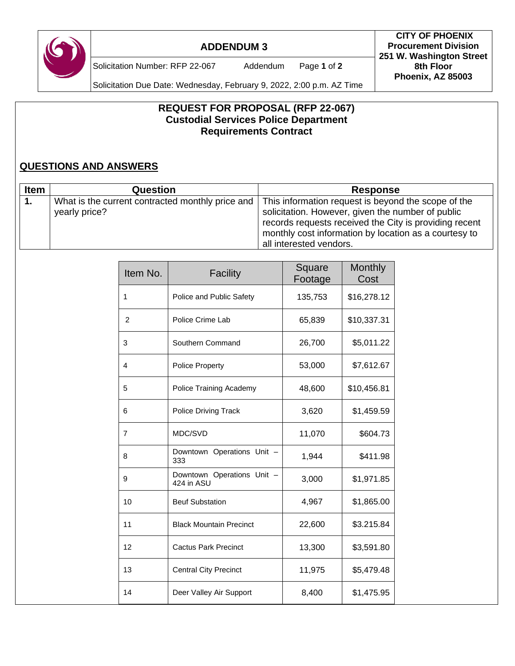

## **ADDENDUM 3**

Solicitation Number: RFP 22-067 Addendum Page **1** of **2**

Solicitation Due Date: Wednesday, February 9, 2022, 2:00 p.m. AZ Time

## **REQUEST FOR PROPOSAL (RFP 22-067) Custodial Services Police Department Requirements Contract**

## **QUESTIONS AND ANSWERS**

| <b>Item</b> | <b>Question</b>                                                   | <b>Response</b>                                                                                                                                                                                                                                        |
|-------------|-------------------------------------------------------------------|--------------------------------------------------------------------------------------------------------------------------------------------------------------------------------------------------------------------------------------------------------|
|             | What is the current contracted monthly price and<br>yearly price? | This information request is beyond the scope of the<br>solicitation. However, given the number of public<br>records requests received the City is providing recent<br>monthly cost information by location as a courtesy to<br>all interested vendors. |

| Item No. | Facility                                 | Square<br>Footage | <b>Monthly</b><br>Cost |
|----------|------------------------------------------|-------------------|------------------------|
| 1        | Police and Public Safety                 | 135,753           | \$16,278.12            |
| 2        | Police Crime Lab                         | 65,839            | \$10,337.31            |
| 3        | Southern Command                         | 26,700            | \$5,011.22             |
| 4        | <b>Police Property</b>                   | 53,000            | \$7,612.67             |
| 5        | Police Training Academy                  | 48,600            | \$10,456.81            |
| 6        | Police Driving Track                     | 3,620             | \$1,459.59             |
| 7        | MDC/SVD                                  | 11,070            | \$604.73               |
| 8        | Downtown Operations Unit -<br>333        | 1,944             | \$411.98               |
| 9        | Downtown Operations Unit -<br>424 in ASU | 3,000             | \$1,971.85             |
| 10       | <b>Beuf Substation</b>                   | 4,967             | \$1,865.00             |
| 11       | <b>Black Mountain Precinct</b>           | 22,600            | \$3.215.84             |
| 12       | <b>Cactus Park Precinct</b>              | 13,300            | \$3,591.80             |
| 13       | <b>Central City Precinct</b>             | 11,975            | \$5,479.48             |
| 14       | Deer Valley Air Support                  | 8,400             | \$1,475.95             |